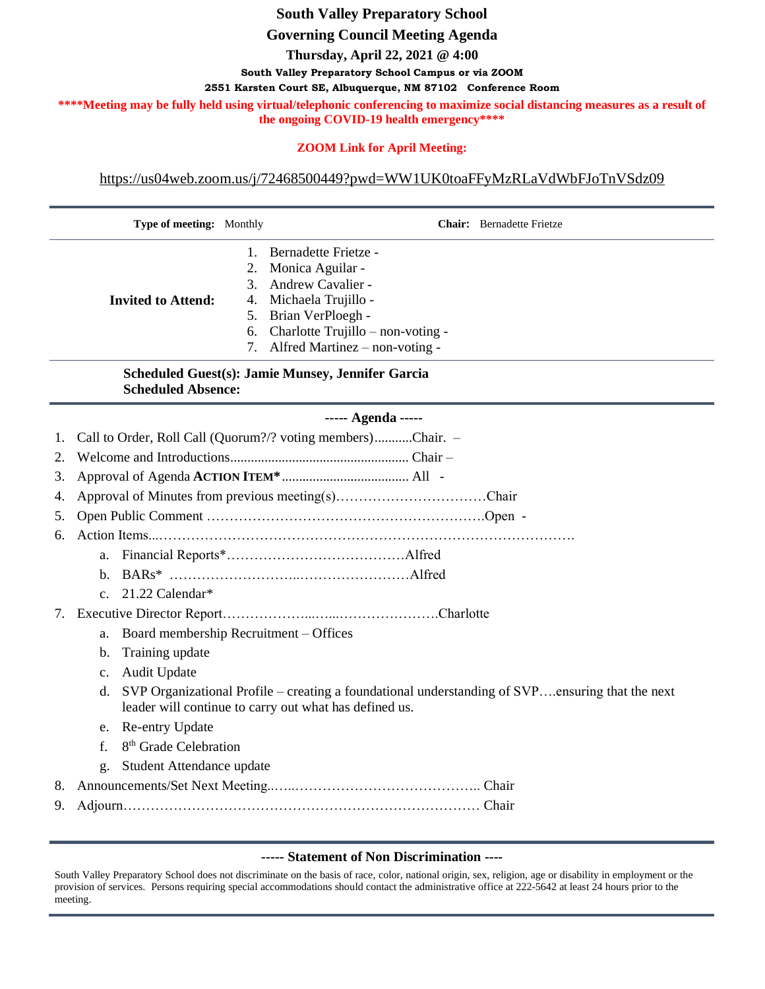# **South Valley Preparatory School**

#### **Governing Council Meeting Agenda**

**Thursday, April 22, 2021 @ 4:00**

**South Valley Preparatory School Campus or via ZOOM**

**2551 Karsten Court SE, Albuquerque, NM 87102 Conference Room**

\*\*\*\*Meeting may be fully held using virtual/telephonic conferencing to maximize social distancing measures as a result of **the ongoing COVID-19 health emergency\*\*\*\***

## **ZOOM Link for April Meeting:**

[https://us04web.zoom.us/j/72468500449?pwd=WW1UK0toaFFyMzRLaVdWbFJoTnVSdz09](https://www.google.com/url?q=https://us04web.zoom.us/j/72468500449?pwd%3DWW1UK0toaFFyMzRLaVdWbFJoTnVSdz09&sa=D&source=calendar&ust=1619302274700000&usg=AOvVaw17I5HvYJm1E8ji9PEwS6a2)

|                                                                                | Type of meeting: Monthly                     |                                                                                                                                                           | <b>Chair:</b> Bernadette Frietze  |  |
|--------------------------------------------------------------------------------|----------------------------------------------|-----------------------------------------------------------------------------------------------------------------------------------------------------------|-----------------------------------|--|
|                                                                                |                                              | 1.                                                                                                                                                        | Bernadette Frietze -              |  |
|                                                                                |                                              | 2.                                                                                                                                                        | Monica Aguilar -                  |  |
|                                                                                |                                              | 3.                                                                                                                                                        | Andrew Cavalier -                 |  |
|                                                                                | <b>Invited to Attend:</b>                    | 4.                                                                                                                                                        | Michaela Trujillo -               |  |
|                                                                                |                                              | 5.                                                                                                                                                        | Brian VerPloegh -                 |  |
|                                                                                |                                              | 6.                                                                                                                                                        | Charlotte Trujillo - non-voting - |  |
|                                                                                |                                              | 7.                                                                                                                                                        | Alfred Martinez – non-voting -    |  |
| Scheduled Guest(s): Jamie Munsey, Jennifer Garcia<br><b>Scheduled Absence:</b> |                                              |                                                                                                                                                           |                                   |  |
| ----- Agenda -----                                                             |                                              |                                                                                                                                                           |                                   |  |
|                                                                                |                                              | Call to Order, Roll Call (Quorum?/? voting members)Chair. -                                                                                               |                                   |  |
| 2.                                                                             |                                              |                                                                                                                                                           |                                   |  |
| 3.                                                                             |                                              |                                                                                                                                                           |                                   |  |
| 4.                                                                             |                                              |                                                                                                                                                           |                                   |  |
| 5.                                                                             |                                              |                                                                                                                                                           |                                   |  |
| 6.                                                                             |                                              |                                                                                                                                                           |                                   |  |
|                                                                                | a.                                           |                                                                                                                                                           |                                   |  |
|                                                                                | $\mathbf{b}$ .                               |                                                                                                                                                           |                                   |  |
|                                                                                | 21.22 Calendar*<br>$\mathbf{c}$ .            |                                                                                                                                                           |                                   |  |
|                                                                                |                                              |                                                                                                                                                           |                                   |  |
|                                                                                | Board membership Recruitment - Offices<br>a. |                                                                                                                                                           |                                   |  |
|                                                                                | Training update<br>b.                        |                                                                                                                                                           |                                   |  |
|                                                                                | <b>Audit Update</b><br>$\mathbf{c}$ .        |                                                                                                                                                           |                                   |  |
|                                                                                | d.                                           | SVP Organizational Profile – creating a foundational understanding of SVPensuring that the next<br>leader will continue to carry out what has defined us. |                                   |  |

- e. Re-entry Update
- f. 8<sup>th</sup> Grade Celebration
- g. Student Attendance update
- 8. Announcements/Set Next Meeting..…..………………………………….. Chair
- 9. Adjourn…………………………………………………………………… Chair

#### **----- Statement of Non Discrimination ----**

South Valley Preparatory School does not discriminate on the basis of race, color, national origin, sex, religion, age or disability in employment or the provision of services. Persons requiring special accommodations should contact the administrative office at 222-5642 at least 24 hours prior to the meeting.